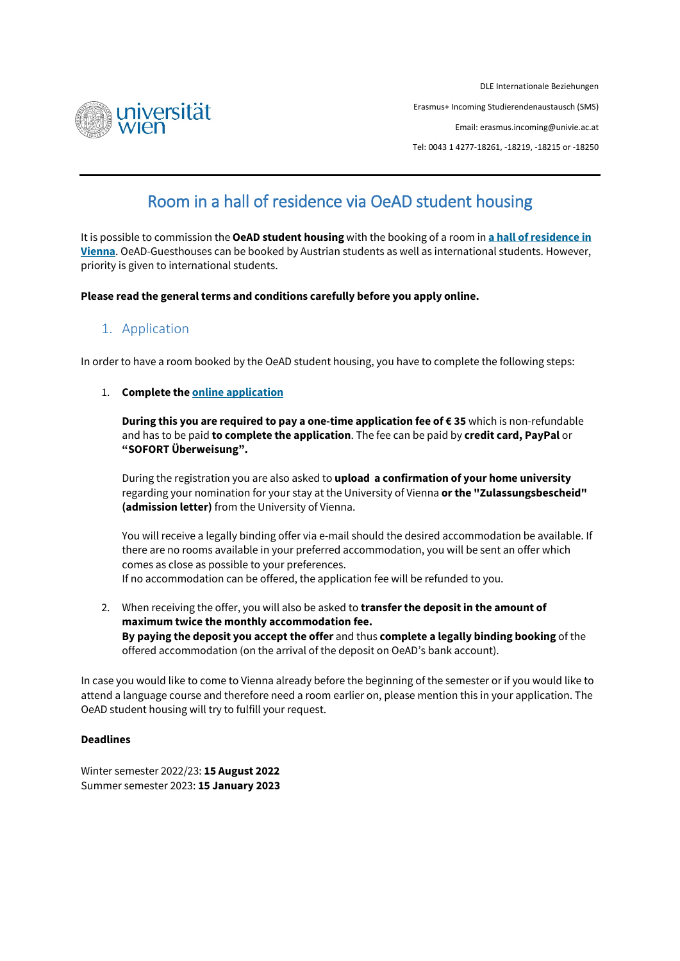

DLE Internationale Beziehungen Erasmus+ Incoming Studierendenaustausch (SMS) Email[: erasmus.incoming@univie.ac.at](mailto:erasmus.incoming@univie.ac.at) Tel: 0043 1 4277-18261, -18219, -18215 or -18250

# Room in a hall of residence via OeAD student housing

It is possible to commission the **OeAD student housing** with the booking of a room in **[a hall of residence in](https://www.oeadstudenthousing.at/en/accommodation/vienna/)  [Vienna](https://www.oeadstudenthousing.at/en/accommodation/vienna/)**. OeAD-Guesthouses can be booked by Austrian students as well as international students. However, priority is given to international students.

#### **Please read the general terms and conditions carefully before you apply online.**

## 1. Application

In order to have a room booked by the OeAD student housing, you have to complete the following steps:

### 1. **Complete th[e online application](https://oeadstudenthousing.at/en/application)**

**During this you are required to pay a one-time application fee of € 35** which is non-refundable and has to be paid **to complete the application**. The fee can be paid by **credit card, PayPal** or **"SOFORT Überweisung".**

During the registration you are also asked to **upload a confirmation of your home university** regarding your nomination for your stay at the University of Vienna **or the "Zulassungsbescheid" (admission letter)** from the University of Vienna.

You will receive a legally binding offer via e-mail should the desired accommodation be available. If there are no rooms available in your preferred accommodation, you will be sent an offer which comes as close as possible to your preferences. If no accommodation can be offered, the application fee will be refunded to you.

2. When receiving the offer, you will also be asked to **transfer the deposit in the amount of maximum twice the monthly accommodation fee. By paying the deposit you accept the offer** and thus **complete a legally binding booking** of the offered accommodation (on the arrival of the deposit on OeAD's bank account).

In case you would like to come to Vienna already before the beginning of the semester or if you would like to attend a language course and therefore need a room earlier on, please mention this in your application. The OeAD student housing will try to fulfill your request.

#### **Deadlines**

Winter semester 2022/23: **15 August 2022** Summer semester 2023: **15 January 2023**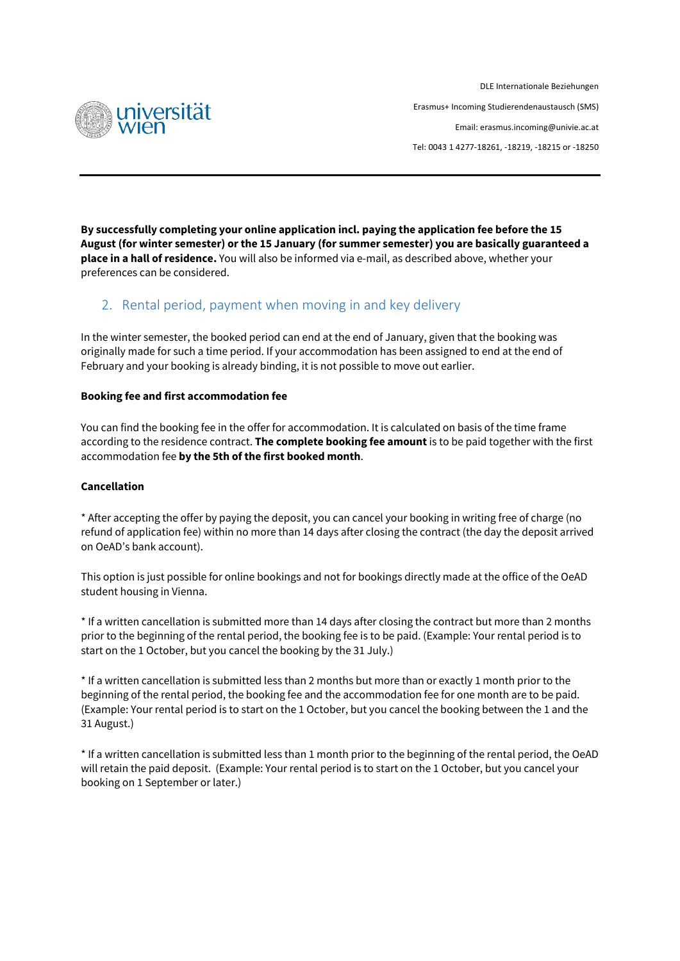

DLE Internationale Beziehungen Erasmus+ Incoming Studierendenaustausch (SMS) Email[: erasmus.incoming@univie.ac.at](mailto:erasmus.incoming@univie.ac.at) Tel: 0043 1 4277-18261, -18219, -18215 or -18250

**By successfully completing your online application incl. paying the application fee before the 15 August (for winter semester) or the 15 January (for summer semester) you are basically guaranteed a place in a hall of residence.** You will also be informed via e-mail, as described above, whether your preferences can be considered.

## 2. Rental period, payment when moving in and key delivery

In the winter semester, the booked period can end at the end of January, given that the booking was originally made for such a time period. If your accommodation has been assigned to end at the end of February and your booking is already binding, it is not possible to move out earlier.

#### **Booking fee and first accommodation fee**

You can find the booking fee in the offer for accommodation. It is calculated on basis of the time frame according to the residence contract. **The complete booking fee amount** is to be paid together with the first accommodation fee **by the 5th of the first booked month**.

#### **Cancellation**

\* After accepting the offer by paying the deposit, you can cancel your booking in writing free of charge (no refund of application fee) within no more than 14 days after closing the contract (the day the deposit arrived on OeAD's bank account).

This option is just possible for online bookings and not for bookings directly made at the office of the OeAD student housing in Vienna.

\* If a written cancellation is submitted more than 14 days after closing the contract but more than 2 months prior to the beginning of the rental period, the booking fee is to be paid. (Example: Your rental period is to start on the 1 October, but you cancel the booking by the 31 July.)

\* If a written cancellation is submitted less than 2 months but more than or exactly 1 month prior to the beginning of the rental period, the booking fee and the accommodation fee for one month are to be paid. (Example: Your rental period is to start on the 1 October, but you cancel the booking between the 1 and the 31 August.)

\* If a written cancellation is submitted less than 1 month prior to the beginning of the rental period, the OeAD will retain the paid deposit. (Example: Your rental period is to start on the 1 October, but you cancel your booking on 1 September or later.)